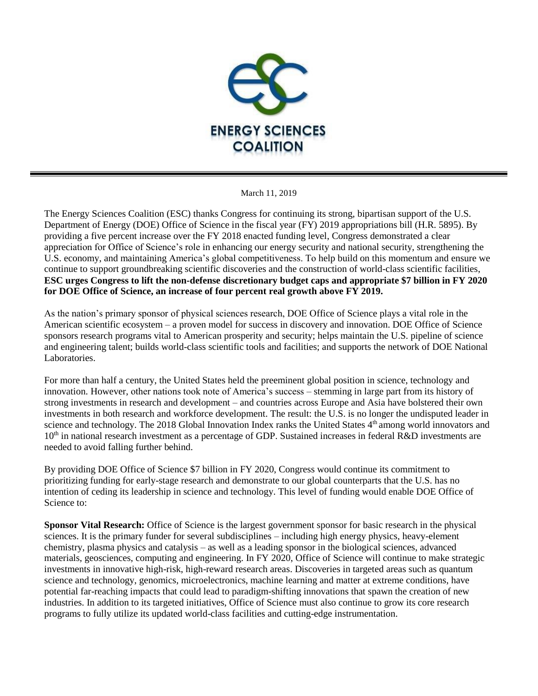

March 11, 2019

The Energy Sciences Coalition (ESC) thanks Congress for continuing its strong, bipartisan support of the U.S. Department of Energy (DOE) Office of Science in the fiscal year (FY) 2019 appropriations bill (H.R. 5895). By providing a five percent increase over the FY 2018 enacted funding level, Congress demonstrated a clear appreciation for Office of Science's role in enhancing our energy security and national security, strengthening the U.S. economy, and maintaining America's global competitiveness. To help build on this momentum and ensure we continue to support groundbreaking scientific discoveries and the construction of world-class scientific facilities, **ESC urges Congress to lift the non-defense discretionary budget caps and appropriate \$7 billion in FY 2020 for DOE Office of Science, an increase of four percent real growth above FY 2019.**

As the nation's primary sponsor of physical sciences research, DOE Office of Science plays a vital role in the American scientific ecosystem – a proven model for success in discovery and innovation. DOE Office of Science sponsors research programs vital to American prosperity and security; helps maintain the U.S. pipeline of science and engineering talent; builds world-class scientific tools and facilities; and supports the network of DOE National Laboratories.

For more than half a century, the United States held the preeminent global position in science, technology and innovation. However, other nations took note of America's success – stemming in large part from its history of strong investments in research and development – and countries across Europe and Asia have bolstered their own investments in both research and workforce development. The result: the U.S. is no longer the undisputed leader in science and technology. The 2018 Global Innovation Index ranks the United States 4<sup>th</sup> among world innovators and  $10<sup>th</sup>$  in national research investment as a percentage of GDP. Sustained increases in federal R&D investments are needed to avoid falling further behind.

By providing DOE Office of Science \$7 billion in FY 2020, Congress would continue its commitment to prioritizing funding for early-stage research and demonstrate to our global counterparts that the U.S. has no intention of ceding its leadership in science and technology. This level of funding would enable DOE Office of Science to:

**Sponsor Vital Research:** Office of Science is the largest government sponsor for basic research in the physical sciences. It is the primary funder for several subdisciplines – including high energy physics, heavy-element chemistry, plasma physics and catalysis – as well as a leading sponsor in the biological sciences, advanced materials, geosciences, computing and engineering. In FY 2020, Office of Science will continue to make strategic investments in innovative high-risk, high-reward research areas. Discoveries in targeted areas such as quantum science and technology, genomics, microelectronics, machine learning and matter at extreme conditions, have potential far-reaching impacts that could lead to paradigm-shifting innovations that spawn the creation of new industries. In addition to its targeted initiatives, Office of Science must also continue to grow its core research programs to fully utilize its updated world-class facilities and cutting-edge instrumentation.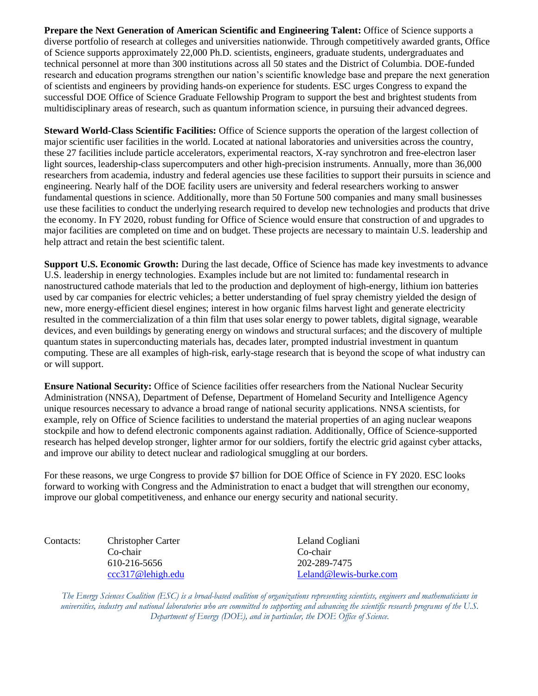**Prepare the Next Generation of American Scientific and Engineering Talent:** Office of Science supports a diverse portfolio of research at colleges and universities nationwide. Through competitively awarded grants, Office of Science supports approximately 22,000 Ph.D. scientists, engineers, graduate students, undergraduates and technical personnel at more than 300 institutions across all 50 states and the District of Columbia. DOE-funded research and education programs strengthen our nation's scientific knowledge base and prepare the next generation of scientists and engineers by providing hands-on experience for students. ESC urges Congress to expand the successful DOE Office of Science Graduate Fellowship Program to support the best and brightest students from multidisciplinary areas of research, such as quantum information science, in pursuing their advanced degrees.

**Steward World-Class Scientific Facilities:** Office of Science supports the operation of the largest collection of major scientific user facilities in the world. Located at national laboratories and universities across the country, these 27 facilities include particle accelerators, experimental reactors, X-ray synchrotron and free-electron laser light sources, leadership-class supercomputers and other high-precision instruments. Annually, more than 36,000 researchers from academia, industry and federal agencies use these facilities to support their pursuits in science and engineering. Nearly half of the DOE facility users are university and federal researchers working to answer fundamental questions in science. Additionally, more than 50 Fortune 500 companies and many small businesses use these facilities to conduct the underlying research required to develop new technologies and products that drive the economy. In FY 2020, robust funding for Office of Science would ensure that construction of and upgrades to major facilities are completed on time and on budget. These projects are necessary to maintain U.S. leadership and help attract and retain the best scientific talent.

**Support U.S. Economic Growth:** During the last decade, Office of Science has made key investments to advance U.S. leadership in energy technologies. Examples include but are not limited to: fundamental research in nanostructured cathode materials that led to the production and deployment of high-energy, lithium ion batteries used by car companies for electric vehicles; a better understanding of fuel spray chemistry yielded the design of new, more energy-efficient diesel engines; interest in how organic films harvest light and generate electricity resulted in the commercialization of a thin film that uses solar energy to power tablets, digital signage, wearable devices, and even buildings by generating energy on windows and structural surfaces; and the discovery of multiple quantum states in superconducting materials has, decades later, prompted industrial investment in quantum computing. These are all examples of high-risk, early-stage research that is beyond the scope of what industry can or will support.

**Ensure National Security:** Office of Science facilities offer researchers from the National Nuclear Security Administration (NNSA), Department of Defense, Department of Homeland Security and Intelligence Agency unique resources necessary to advance a broad range of national security applications. NNSA scientists, for example, rely on Office of Science facilities to understand the material properties of an aging nuclear weapons stockpile and how to defend electronic components against radiation. Additionally, Office of Science-supported research has helped develop stronger, lighter armor for our soldiers, fortify the electric grid against cyber attacks, and improve our ability to detect nuclear and radiological smuggling at our borders.

For these reasons, we urge Congress to provide \$7 billion for DOE Office of Science in FY 2020. ESC looks forward to working with Congress and the Administration to enact a budget that will strengthen our economy, improve our global competitiveness, and enhance our energy security and national security.

Contacts: Christopher Carter Leland Cogliani Co-chair Co-chair 610-216-5656 202-289-7475

[ccc317@lehigh.edu](mailto:ccc317@lehigh.edu) [Leland@lewis-burke.com](mailto:Leland@lewis-burke.com)

*The Energy Sciences Coalition (ESC) is a broad-based coalition of organizations representing scientists, engineers and mathematicians in universities, industry and national laboratories who are committed to supporting and advancing the scientific research programs of the U.S. Department of Energy (DOE), and in particular, the DOE Office of Science.*